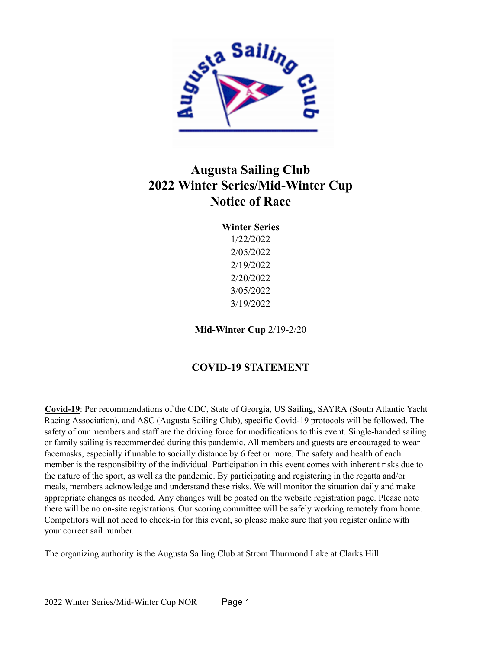

## **Augusta Sailing Club 2022 Winter Series/Mid-Winter Cup Notice of Race**

| <b>Winter Series</b> |
|----------------------|
| 1/22/2022            |
| 2/05/2022            |
| 2/19/2022            |
| 2/20/2022            |
| 3/05/2022            |
| 3/19/2022            |
|                      |

**Mid-Winter Cup** 2/19-2/20

## **COVID-19 STATEMENT**

**Covid-19**: Per recommendations of the CDC, State of Georgia, US Sailing, SAYRA (South Atlantic Yacht Racing Association), and ASC (Augusta Sailing Club), specific Covid-19 protocols will be followed. The safety of our members and staff are the driving force for modifications to this event. Single-handed sailing or family sailing is recommended during this pandemic. All members and guests are encouraged to wear facemasks, especially if unable to socially distance by 6 feet or more. The safety and health of each member is the responsibility of the individual. Participation in this event comes with inherent risks due to the nature of the sport, as well as the pandemic. By participating and registering in the regatta and/or meals, members acknowledge and understand these risks. We will monitor the situation daily and make appropriate changes as needed. Any changes will be posted on the website registration page. Please note there will be no on-site registrations. Our scoring committee will be safely working remotely from home. Competitors will not need to check-in for this event, so please make sure that you register online with your correct sail number.

The organizing authority is the Augusta Sailing Club at Strom Thurmond Lake at Clarks Hill.